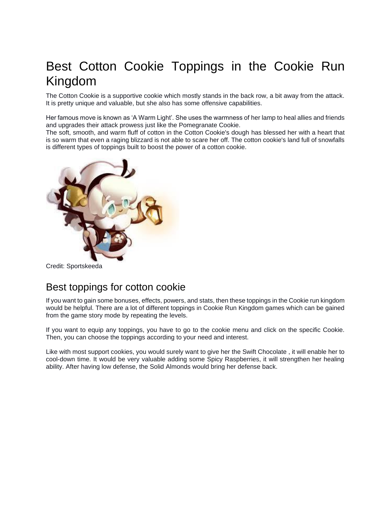# Best Cotton Cookie Toppings in the Cookie Run Kingdom

The Cotton Cookie is a supportive cookie which mostly stands in the back row, a bit away from the attack. It is pretty unique and valuable, but she also has some offensive capabilities.

Her famous move is known as 'A Warm Light'. She uses the warmness of her lamp to heal allies and friends and upgrades their attack prowess just like the Pomegranate Cookie.

The soft, smooth, and warm fluff of cotton in the Cotton Cookie's dough has blessed her with a heart that is so warm that even a raging blizzard is not able to scare her off. The cotton cookie's land full of snowfalls is different types of toppings built to boost the power of a cotton cookie.



Credit: Sportskeeda

# Best toppings for cotton cookie

If you want to gain some bonuses, effects, powers, and stats, then these toppings in the Cookie run kingdom would be helpful. There are a lot of different toppings in Cookie Run Kingdom games which can be gained from the game story mode by repeating the levels.

If you want to equip any toppings, you have to go to the cookie menu and click on the specific Cookie. Then, you can choose the toppings according to your need and interest.

Like with most support cookies, you would surely want to give her the Swift Chocolate , it will enable her to cool-down time. It would be very valuable adding some Spicy Raspberries, it will strengthen her healing ability. After having low defense, the Solid Almonds would bring her defense back.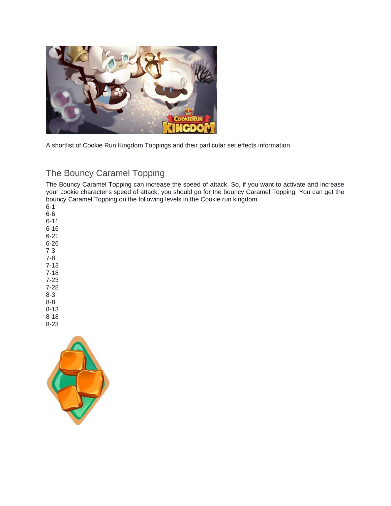

A shortlist of Cookie Run Kingdom Toppings and their particular set effects information

## The Bouncy Caramel Topping

The Bouncy Caramel Topping can increase the speed of attack. So, if you want to activate and increase your cookie character's speed of attack, you should go for the bouncy Caramel Topping. You can get the bouncy Caramel Topping on the following levels in the Cookie run kingdom.

6-1 6-6 6-11 6-16 6-21 6-26 7-3 7-8 7-13 7-18 7-23 7-28 8-3 8-8 8-13

8-18 8-23

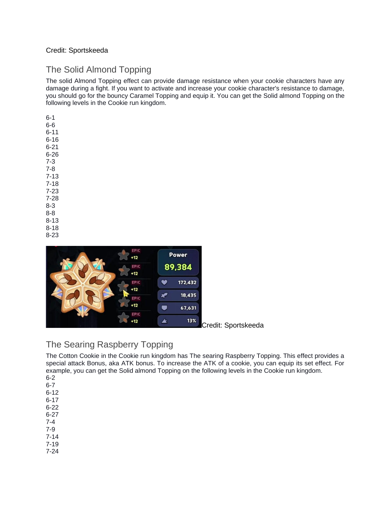#### Credit: Sportskeeda

### The Solid Almond Topping

The solid Almond Topping effect can provide damage resistance when your cookie characters have any damage during a fight. If you want to activate and increase your cookie character's resistance to damage, you should go for the bouncy Caramel Topping and equip it. You can get the Solid almond Topping on the following levels in the Cookie run kingdom.

6-1 6-6 6-11 6-16 6-21 6-26 7-3 7-8 7-13 7-18 7-23 7-28 8-3 8-8 8-13 8-18 8-23



Credit: Sportskeeda

### The Searing Raspberry Topping

The Cotton Cookie in the Cookie run kingdom has The searing Raspberry Topping. This effect provides a special attack Bonus, aka ATK bonus. To increase the ATK of a cookie, you can equip its set effect. For example, you can get the Solid almond Topping on the following levels in the Cookie run kingdom. 6-2

- 6-7
- 6-12
- 6-17
- 6-22
- 6-27
- 7-4 7-9
- 7-14
- 7-19
- 7-24